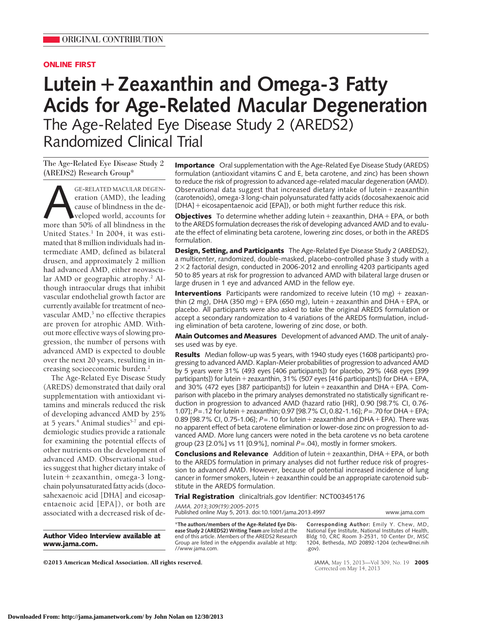## **ONLINE FIRST**

# **Lutein**-**Zeaxanthin and Omega-3 Fatty Acids for Age-Related Macular Degeneration** The Age-Related Eye Disease Study 2 (AREDS2) Randomized Clinical Trial

The Age-Related Eye Disease Study 2 (AREDS2) Research Group\*

GE-RELATED MACULAR DEGENeration (AMD), the leading<br>cause of blindness in the de-<br>weloped world, accounts for<br>more than 50% of all blindness in the eration (AMD), the leading cause of blindness in the developed world, accounts for United States.<sup>1</sup> In 2004, it was estimated that 8 million individuals had intermediate AMD, defined as bilateral drusen, and approximately 2 million had advanced AMD, either neovascular AMD or geographic atrophy.<sup>2</sup> Although intraocular drugs that inhibit vascular endothelial growth factor are currently available for treatment of neovascular  $\text{AMD}$ , no effective therapies are proven for atrophic AMD. Without more effective ways of slowing progression, the number of persons with advanced AMD is expected to double over the next 20 years, resulting in increasing socioeconomic burden.2

The Age-Related Eye Disease Study (AREDS) demonstrated that daily oral supplementation with antioxidant vitamins and minerals reduced the risk of developing advanced AMD by 25% at 5 years.<sup>4</sup> Animal studies<sup>5-7</sup> and epidemiologic studies provide a rationale for examining the potential effects of other nutrients on the development of advanced AMD. Observational studies suggest that higher dietary intake of lutein-zeaxanthin, omega-3 longchain polyunsaturated fatty acids (docosahexaenoic acid [DHA] and eicosapentaenoic acid [EPA]), or both are associated with a decreased risk of de-

**Author Video Interview available at www.jama.com.**

**Importance** Oral supplementation with the Age-Related Eye Disease Study (AREDS) formulation (antioxidant vitamins C and E, beta carotene, and zinc) has been shown to reduce the risk of progression to advanced age-related macular degeneration (AMD). Observational data suggest that increased dietary intake of lutein + zeaxanthin (carotenoids), omega-3 long-chain polyunsaturated fatty acids (docosahexaenoic acid [DHA] + eicosapentaenoic acid [EPA]), or both might further reduce this risk.

**Objectives** To determine whether adding lutein + zeaxanthin, DHA + EPA, or both to the AREDS formulation decreases the risk of developing advanced AMD and to evaluate the effect of eliminating beta carotene, lowering zinc doses, or both in the AREDS formulation.

**Design, Setting, and Participants** The Age-Related Eye Disease Study 2 (AREDS2), a multicenter, randomized, double-masked, placebo-controlled phase 3 study with a  $2 \times 2$  factorial design, conducted in 2006-2012 and enrolling 4203 participants aged 50 to 85 years at risk for progression to advanced AMD with bilateral large drusen or large drusen in 1 eye and advanced AMD in the fellow eye.

**Interventions** Participants were randomized to receive lutein (10 mg) + zeaxanthin (2 mg), DHA (350 mg) + EPA (650 mg), lutein + zeaxanthin and DHA + EPA, or placebo. All participants were also asked to take the original AREDS formulation or accept a secondary randomization to 4 variations of the AREDS formulation, including elimination of beta carotene, lowering of zinc dose, or both.

**Main Outcomes and Measures** Development of advanced AMD. The unit of analyses used was by eye.

**Results** Median follow-up was 5 years, with 1940 study eyes (1608 participants) progressing to advanced AMD. Kaplan-Meier probabilities of progression to advanced AMD by 5 years were 31% (493 eyes [406 participants]) for placebo, 29% (468 eyes [399 participants]) for lutein + zeaxanthin, 31% (507 eyes [416 participants]) for DHA + EPA, and 30% (472 eyes [387 participants]) for lutein + zeaxanthin and DHA + EPA. Comparison with placebo in the primary analyses demonstrated no statistically significant reduction in progression to advanced AMD (hazard ratio [HR], 0.90 [98.7% CI, 0.76- 1.07]; *P* = .12 for lutein + zeaxanthin; 0.97 [98.7% CI, 0.82-1.16]; *P* = .70 for DHA + EPA; 0.89 [98.7% CI, 0.75-1.06]; *P*=.10 for lutein-zeaxanthin and DHA-EPA). There was no apparent effect of beta carotene elimination or lower-dose zinc on progression to advanced AMD. More lung cancers were noted in the beta carotene vs no beta carotene group (23 [2.0%] vs 11 [0.9%], nominal *P*=.04), mostly in former smokers.

**Conclusions and Relevance** Addition of lutein + zeaxanthin, DHA + EPA, or both to the AREDS formulation in primary analyses did not further reduce risk of progression to advanced AMD. However, because of potential increased incidence of lung cancer in former smokers, lutein + zeaxanthin could be an appropriate carotenoid substitute in the AREDS formulation.

**Trial Registration** clinicaltrials.gov Identifier: NCT00345176

*JAMA. 2013;309(19):2005-2015* Published online May 5, 2013. doi:10.1001/jama.2013.4997 www.jama.com

\***The authors/members of the Age-Related Eye Disease Study 2 (AREDS2) Writing Team** are listed at the end of this article. Members of the AREDS2 Research Group are listed in the eAppendix available at http: //www.jama.com.

**Corresponding Author:** Emily Y. Chew, MD, National Eye Institute, National Institutes of Health, Bldg 10, CRC Room 3-2531, 10 Center Dr, MSC 1204, Bethesda, MD 20892-1204 (echew@nei.nih .gov).

©2013 American Medical Association. All rights reserved. JAMA, May 15, 2013—Vol 309, No. 19 **2005**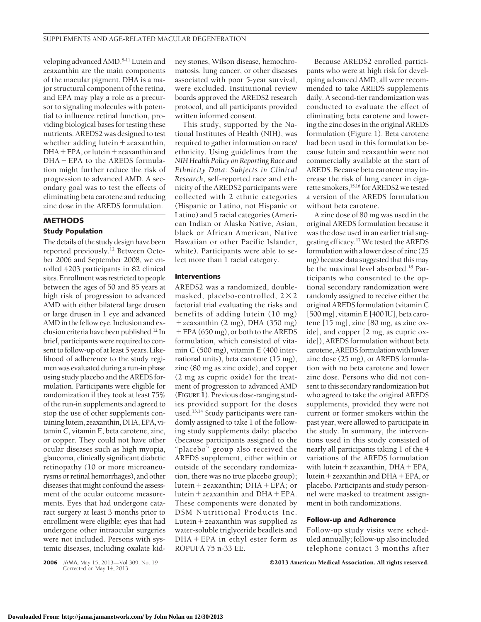veloping advanced AMD.8-11 Lutein and zeaxanthin are the main components of the macular pigment, DHA is a major structural component of the retina, and EPA may play a role as a precursor to signaling molecules with potential to influence retinal function, providing biological bases for testing these nutrients. AREDS2 was designed to test whether adding lutein + zeaxanthin, DHA + EPA, or lutein + zeaxanthin and DHA-EPA to the AREDS formulation might further reduce the risk of progression to advanced AMD. A secondary goal was to test the effects of eliminating beta carotene and reducing zinc dose in the AREDS formulation.

# **METHODS Study Population**

The details of the study design have been reported previously.12 Between October 2006 and September 2008, we enrolled 4203 participants in 82 clinical sites. Enrollment was restricted to people between the ages of 50 and 85 years at high risk of progression to advanced AMD with either bilateral large drusen or large drusen in 1 eye and advanced AMD in the fellow eye. Inclusion and exclusion criteria have been published.12 In brief, participants were required to consent to follow-up of at least 5 years. Likelihood of adherence to the study regimen was evaluated during a run-in phase using study placebo and the AREDS formulation. Participants were eligible for randomization if they took at least 75% of the run-in supplements and agreed to stop the use of other supplements containinglutein, zeaxanthin, DHA, EPA, vitamin C, vitamin E, beta carotene, zinc, or copper. They could not have other ocular diseases such as high myopia, glaucoma, clinically significant diabetic retinopathy (10 or more microaneurysms or retinal hemorrhages), and other diseases that might confound the assessment of the ocular outcome measurements. Eyes that had undergone cataract surgery at least 3 months prior to enrollment were eligible; eyes that had undergone other intraocular surgeries were not included. Persons with systemic diseases, including oxalate kidney stones, Wilson disease, hemochromatosis, lung cancer, or other diseases associated with poor 5-year survival, were excluded. Institutional review boards approved the AREDS2 research protocol, and all participants provided written informed consent.

This study, supported by the National Institutes of Health (NIH), was required to gather information on race/ ethnicity. Using guidelines from the *NIH Health Policy on Reporting Race and Ethnicity Data*: *Subjects in Clinical Research*, self-reported race and ethnicity of the AREDS2 participants were collected with 2 ethnic categories (Hispanic or Latino, not Hispanic or Latino) and 5 racial categories (American Indian or Alaska Native, Asian, black or African American, Native Hawaiian or other Pacific Islander, white). Participants were able to select more than 1 racial category.

## **Interventions**

AREDS2 was a randomized, doublemasked, placebo-controlled,  $2 \times 2$ factorial trial evaluating the risks and benefits of adding lutein (10 mg) -zeaxanthin (2 mg), DHA (350 mg) + EPA (650 mg), or both to the AREDS formulation, which consisted of vitamin C (500 mg), vitamin E (400 international units), beta carotene (15 mg), zinc (80 mg as zinc oxide), and copper (2 mg as cupric oxide) for the treatment of progression to advanced AMD (**FIGURE 1**). Previous dose-ranging studies provided support for the doses used.13,14 Study participants were randomly assigned to take 1 of the following study supplements daily: placebo (because participants assigned to the "placebo" group also received the AREDS supplement, either within or outside of the secondary randomization, there was no true placebo group); lutein-zeaxanthin; DHA-EPA; or lutein-zeaxanthin and DHA-EPA. These components were donated by DSM Nutritional Products Inc. Lutein-zeaxanthin was supplied as water-soluble triglyceride beadlets and DHA - EPA in ethyl ester form as ROPUFA 75 n-33 EE.

Because AREDS2 enrolled participants who were at high risk for developing advanced AMD, all were recommended to take AREDS supplements daily. A second-tier randomization was conducted to evaluate the effect of eliminating beta carotene and lowering the zinc doses in the original AREDS formulation (Figure 1). Beta carotene had been used in this formulation because lutein and zeaxanthin were not commercially available at the start of AREDS. Because beta carotene may increase the risk of lung cancer in cigarette smokers,15,16 for AREDS2 we tested a version of the AREDS formulation without beta carotene.

A zinc dose of 80 mg was used in the original AREDS formulation because it was the dose used in an earlier trial suggesting efficacy.17 We tested the AREDS formulation with alower dose of zinc (25 mg) because data suggested that this may be the maximal level absorbed.18 Participants who consented to the optional secondary randomization were randomly assigned to receive either the original AREDS formulation (vitamin C [500 mg], vitamin E [400 IU], beta carotene [15 mg], zinc [80 mg, as zinc oxide], and copper [2 mg, as cupric oxide]), AREDS formulation without beta carotene, AREDS formulation with lower zinc dose (25 mg), or AREDS formulation with no beta carotene and lower zinc dose. Persons who did not consent to this secondary randomization but who agreed to take the original AREDS supplements, provided they were not current or former smokers within the past year, were allowed to participate in the study. In summary, the interventions used in this study consisted of nearly all participants taking 1 of the 4 variations of the AREDS formulation with lutein + zeaxanthin, DHA + EPA, lutein-zeaxanthin and DHA-EPA, or placebo. Participants and study personnel were masked to treatment assignment in both randomizations.

#### **Follow-up and Adherence**

Follow-up study visits were scheduled annually; follow-up also included telephone contact 3 months after

**2006** JAMA, May 15, 2013—Vol 309, No. 19 **Case Constraints C2013 American Medical Association. All rights reserved.** 

Corrected on May 14, 2013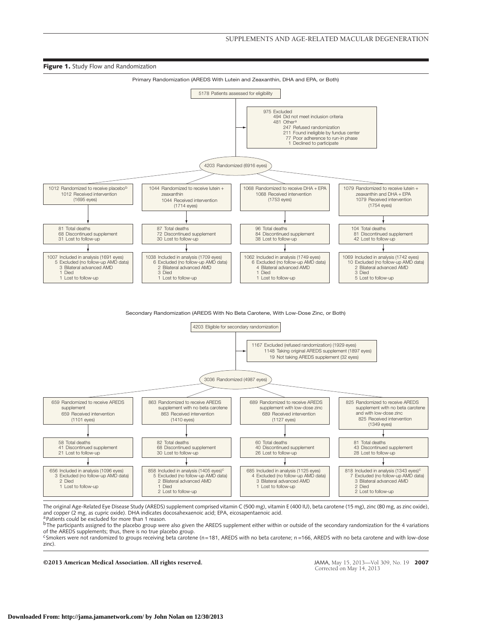

#### Secondary Randomization (AREDS With No Beta Carotene, With Low-Dose Zinc, or Both)



The original Age-Related Eye Disease Study (AREDS) supplement comprised vitamin C (500 mg), vitamin E (400 IU), beta carotene (15 mg), zinc (80 mg, as zinc oxide), and copper (2 mg, as cupric oxide). DHA indicates docosahexaenoic acid; EPA, eicosapentaenoic acid. <sup>a p</sup>atients could be excluded for more than 1 reason.

bThe participants assigned to the placebo group were also given the AREDS supplement either within or outside of the secondary randomization for the 4 variations of the AREDS supplements; thus, there is no true placebo group.

 $c$ Smokers were not randomized to groups receiving beta carotene (n=181, AREDS with no beta carotene; n=166, AREDS with no beta carotene and with low-dose zinc).

#### ©2013 American Medical Association. All rights reserved. JAMA, May 15, 2013—Vol 309, No. 19 **2007**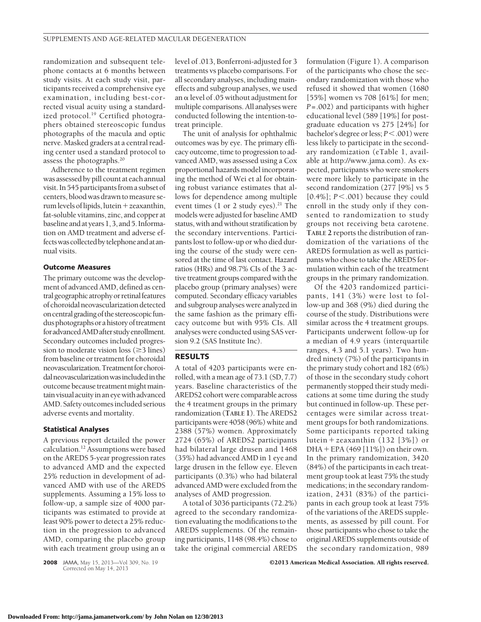randomization and subsequent telephone contacts at 6 months between study visits. At each study visit, participants received a comprehensive eye examination, including best-corrected visual acuity using a standardized protocol.<sup>19</sup> Certified photographers obtained stereoscopic fundus photographs of the macula and optic nerve. Masked graders at a central reading center used a standard protocol to assess the photographs.20

Adherence to the treatment regimen was assessed by pill count at each annual visit. In 545 participants from a subset of centers, blood was drawn tomeasure serum levels of lipids, lutein + zeaxanthin, fat-soluble vitamins, zinc, and copper at baseline and atyears 1, 3, and 5. Information on AMD treatment and adverse effectswascollectedby telephoneandatannual visits.

#### **Outcome Measures**

The primary outcome was the development of advanced AMD, defined as centralgeographicatrophyor retinalfeatures of choroidal neovascularization detected oncentralgradingof thestereoscopicfundus photographs or a history of treatment foradvancedAMDafterstudyenrollment. Secondary outcomes included progression to moderate vision loss  $(\geq 3 \text{ lines})$ from baseline or treatment for choroidal neovascularization. Treatment for choroidalneovascularizationwasincludedin the outcome because treatment might maintainvisual acuityin an eyewith advanced AMD. Safety outcomes included serious adverse events and mortality.

#### **Statistical Analyses**

A previous report detailed the power calculation.12 Assumptions were based on the AREDS 5-year progression rates to advanced AMD and the expected 25% reduction in development of advanced AMD with use of the AREDS supplements. Assuming a 15% loss to follow-up, a sample size of 4000 participants was estimated to provide at least 90% power to detect a 25% reduction in the progression to advanced AMD, comparing the placebo group with each treatment group using an  $\alpha$ 

Corrected on May 14, 2013

level of .013, Bonferroni-adjusted for 3 treatments vs placebo comparisons. For all secondary analyses, including maineffects and subgroup analyses, we used an  $\alpha$  level of .05 without adjustment for multiple comparisons. All analyses were conducted following the intention-totreat principle.

The unit of analysis for ophthalmic outcomes was by eye. The primary efficacy outcome, time to progression to advanced AMD, was assessed using a Cox proportional hazards model incorporating the method of Wei et al for obtaining robust variance estimates that allows for dependence among multiple event times  $(1 \text{ or } 2 \text{ study eyes})$ .<sup>21</sup> The models were adjusted for baseline AMD status, with and without stratification by the secondary interventions. Participants lost to follow-up or who died during the course of the study were censored at the time of last contact. Hazard ratios (HRs) and 98.7% CIs of the 3 active treatment groups compared with the placebo group (primary analyses) were computed. Secondary efficacy variables and subgroup analyses were analyzed in the same fashion as the primary efficacy outcome but with 95% CIs. All analyses were conducted using SAS version 9.2 (SAS Institute Inc).

## **RESULTS**

A total of 4203 participants were enrolled, with a mean age of 73.1 (SD, 7.7) years. Baseline characteristics of the AREDS2 cohort were comparable across the 4 treatment groups in the primary randomization (**TABLE 1**). The AREDS2 participants were 4058 (96%) white and 2388 (57%) women. Approximately 2724 (65%) of AREDS2 participants had bilateral large drusen and 1468 (35%) had advanced AMD in 1 eye and large drusen in the fellow eye. Eleven participants (0.3%) who had bilateral advanced AMD were excluded from the analyses of AMD progression.

A total of 3036 participants (72.2%) agreed to the secondary randomization evaluating the modifications to the AREDS supplements. Of the remaining participants, 1148 (98.4%) chose to take the original commercial AREDS

formulation (Figure 1). A comparison of the participants who chose the secondary randomization with those who refused it showed that women (1680 [55%] women vs 708 [61%] for men; *P*=.002) and participants with higher educational level (589 [19%] for postgraduate education vs 275 [24%] for bachelor's degree or less;  $P$ < .001) were less likely to participate in the secondary randomization (eTable 1, available at http://www.jama.com). As expected, participants who were smokers were more likely to participate in the second randomization (277 [9%] vs 5  $[0.4\%]$ ;  $P \le 0.001$ ) because they could enroll in the study only if they consented to randomization to study groups not receiving beta carotene. **TABLE 2** reports the distribution of randomization of the variations of the AREDS formulation as well as participants who chose to take the AREDS formulation within each of the treatment groups in the primary randomization.

Of the 4203 randomized participants, 141 (3%) were lost to follow-up and 368 (9%) died during the course of the study. Distributions were similar across the 4 treatment groups. Participants underwent follow-up for a median of 4.9 years (interquartile ranges, 4.3 and 5.1 years). Two hundred ninety (7%) of the participants in the primary study cohort and 182 (6%) of those in the secondary study cohort permanently stopped their study medications at some time during the study but continued in follow-up. These percentages were similar across treatment groups for both randomizations. Some participants reported taking lutein - zeaxanthin (132 [3%]) or DHA-EPA (469 [11%]) on their own. In the primary randomization, 3420 (84%) of the participants in each treatment group took at least 75% the study medications; in the secondary randomization, 2431 (83%) of the participants in each group took at least 75% of the variations of the AREDS supplements, as assessed by pill count. For those participants who chose to take the original AREDS supplements outside of the secondary randomization, 989

**2008** JAMA, May 15, 2013—Vol 309, No. 19 **Case 12013 American Medical Association. All rights reserved.**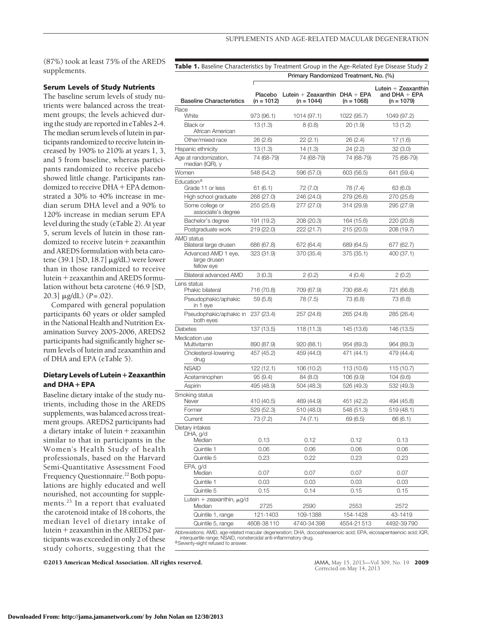(87%) took at least 75% of the AREDS supplements.

#### **Serum Levels of Study Nutrients**

The baseline serum levels of study nutrients were balanced across the treatment groups; the levels achieved during the study are reported in eTables 2-4. The median serum levels of lutein in participants randomized to receive lutein increased by 190% to 210% at years 1, 3, and 5 from baseline, whereas participants randomized to receive placebo showed little change. Participants randomized to receive DHA + EPA demonstrated a 30% to 40% increase in median serum DHA level and a 90% to 120% increase in median serum EPA level during the study (eTable 2). At year 5, serum levels of lutein in those randomized to receive lutein + zeaxanthin and AREDS formulation with beta carotene (39.1 [SD, 18.7]  $\mu$ g/dL) were lower than in those randomized to receive lutein-zeaxanthin and AREDS formulation without beta carotene (46.9 [SD, 20.3]  $\mu$ g/dL) ( $P = .02$ ).

Compared with general population participants 60 years or older sampled in the National Health and Nutrition Examination Survey 2005-2006, AREDS2 participants had significantly higher serum levels of lutein and zeaxanthin and of DHA and EPA (eTable 5).

#### **Dietary Levels of Lutein**-**Zeaxanthin and DHA**-**EPA**

Baseline dietary intake of the study nutrients, including those in the AREDS supplements, was balanced across treatment groups. AREDS2 participants had a dietary intake of lutein-zeaxanthin similar to that in participants in the Women's Health Study of health professionals, based on the Harvard Semi-Quantitative Assessment Food Frequency Questionnaire.<sup>22</sup> Both populations are highly educated and well nourished, not accounting for supplements.<sup>23</sup> In a report that evaluated the carotenoid intake of 18 cohorts, the median level of dietary intake of lutein-zeaxanthin in the AREDS2 participants was exceeded in only 2 of these study cohorts, suggesting that the

Table 1. Baseline Characteristics by Treatment Group in the Age-Related Eye Disease Study 2

|                                                   |                       | Primary Randomized Treatment, No. (%)           |              |                                                          |
|---------------------------------------------------|-----------------------|-------------------------------------------------|--------------|----------------------------------------------------------|
| <b>Baseline Characteristics</b>                   | Placebo<br>(n = 1012) | Lutein + Zeaxanthin $DHA + EPA$<br>$(n = 1044)$ | $(n = 1068)$ | Lutein $+$ Zeaxanthin<br>and $DHA + EPA$<br>$(n = 1079)$ |
| Race                                              |                       |                                                 |              |                                                          |
| White                                             | 973 (96.1)            | 1014 (97.1)                                     | 1022 (95.7)  | 1049 (97.2)                                              |
| <b>Black or</b><br>African American               | 13(1.3)               | 8(0.8)                                          | 20(1.9)      | 13(1.2)                                                  |
| Other/mixed race                                  | 26(2.6)               | 22(2.1)                                         | 26(2.4)      | 17 (1.6)                                                 |
| Hispanic ethnicity                                | 13(1.3)               | 14 (1.3)                                        | 24 (2.2)     | 32(3.0)                                                  |
| Age at randomization,<br>median (IQR), y          | 74 (68-79)            | 74 (68-79)                                      | 74 (68-79)   | 75 (68-79)                                               |
| Women                                             | 548 (54.2)            | 596 (57.0)                                      | 603 (56.5)   | 641 (59.4)                                               |
| Education <sup>a</sup><br>Grade 11 or less        | 61(6.1)               | 72 (7.0)                                        | 78 (7.4)     | 63 (6.0)                                                 |
| High school graduate                              | 268 (27.0)            | 246 (24.0)                                      | 279 (26.6)   | 270 (25.6)                                               |
| Some college or<br>associate's degree             | 255 (25.6)            | 277 (27.0)                                      | 314 (29.9)   | 295 (27.9)                                               |
| Bachelor's degree                                 | 191 (19.2)            | 208 (20.3)                                      | 164 (15.6)   | 220 (20.8)                                               |
| Postgraduate work                                 | 219 (22.0)            | 222 (21.7)                                      | 215 (20.5)   | 208 (19.7)                                               |
| AMD status<br>Bilateral large drusen              | 686 (67.8)            | 672 (64.4)                                      | 689 (64.5)   | 677 (62.7)                                               |
| Advanced AMD 1 eye,<br>large drusen<br>fellow eye | 323 (31.9)            | 370 (35.4)                                      | 375 (35.1)   | 400 (37.1)                                               |
| Bilateral advanced AMD                            | 3(0.3)                | 2(0.2)                                          | 4 (0.4)      | 2(0.2)                                                   |
| Lens status<br>Phakic bilateral                   | 716 (70.8)            | 709 (67.9)                                      | 730 (68.4)   | 721 (66.8)                                               |
| Pseudophakic/aphakic<br>in 1 eye                  | 59(5.8)               | 78 (7.5)                                        | 73 (6.8)     | 73 (6.8)                                                 |
| Pseudophakic/aphakic in 237 (23.4)<br>both eyes   |                       | 257 (24.6)                                      | 265 (24.8)   | 285 (26.4)                                               |
| Diabetes                                          | 137 (13.5)            | 118 (11.3)                                      | 145 (13.6)   | 146 (13.5)                                               |
| Medication use                                    |                       |                                                 |              |                                                          |
| Multivitamin                                      | 890 (87.9)            | 920 (88.1)                                      | 954 (89.3)   | 964 (89.3)                                               |
| Cholesterol-lowering<br>drug                      | 457 (45.2)            | 459 (44.0)                                      | 471 (44.1)   | 479 (44.4)                                               |
| <b>NSAID</b>                                      | 122 (12.1)            | 106 (10.2)                                      | 113 (10.6)   | 115 (10.7)                                               |
| Acetaminophen                                     | 95(9.4)               | 84 (8.0)                                        | 106 (9.9)    | 104(9.6)                                                 |
| Aspirin                                           | 495 (48.9)            | 504 (48.3)                                      | 526 (49.3)   | 532 (49.3)                                               |
| Smoking status<br>Never                           | 410 (40.5)            | 469 (44.9)                                      | 451 (42.2)   | 494 (45.8)                                               |
| Former                                            | 529 (52.3)            | 510 (48.0)                                      | 548 (51.3)   | 519 (48.1)                                               |
| Current                                           | 73 (7.2)              | 74 (7.1)                                        | 69(6.5)      | 66 (6.1)                                                 |
| Dietary intakes                                   |                       |                                                 |              |                                                          |
| DHA, g/d                                          |                       |                                                 |              |                                                          |
| Median                                            | 0.13                  | 0.12                                            | 0.12         | 0.13                                                     |
| Quintile 1                                        | 0.06                  | 0.06                                            | 0.06         | 0.06                                                     |
| Quintile 5                                        | 0.23                  | 0.22                                            | 0.23         | 0.23                                                     |
| EPA, g/d<br>Median                                | 0.07                  | 0.07                                            | 0.07         | 0.07                                                     |
| Quintile 1                                        | 0.03                  | 0.03                                            | 0.03         | 0.03                                                     |
| Quintile 5                                        | 0.15                  | 0.14                                            | 0.15         | 0.15                                                     |
| Lutein + zeaxanthin, $\mu$ g/d<br>Median          | 2725                  | 2590                                            | 2553         | 2572                                                     |
| Quintile 1, range                                 | 121-1403              | 109-1388                                        | 154-1428     | 43-1419                                                  |
| Quintile 5, range                                 | 4608-38110            | 4740-34398                                      | 4554-21513   | 4492-39790                                               |

Abbreviations: AMD, age-related macular degeneration; DHA, docosahexaenoic acid; EPA, eicosapentaenoic acid; IQR,<br> interquartile range; NSAID, nonsteroidal anti-inflammatory drug.<br>ªSeventy-eight refused to answer.

©2013 American Medical Association. All rights reserved. JAMA, May 15, 2013—Vol 309, No. 19 **2009**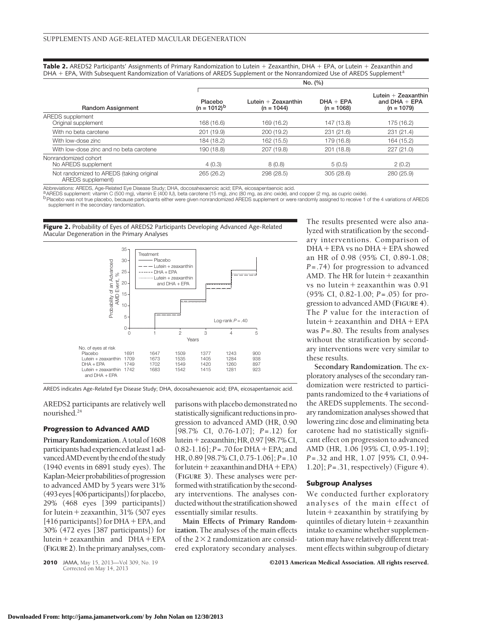**Table 2.** AREDS2 Participants' Assignments of Primary Randomization to Lutein + Zeaxanthin, DHA + EPA, or Lutein + Zeaxanthin and DHA + EPA, With Subsequent Randomization of Variations of AREDS Supplement or the Nonrandomized Use of AREDS Supplement<sup>a</sup>

|                                                               | No. (%)                     |                                     |                             |                                                          |  |  |  |
|---------------------------------------------------------------|-----------------------------|-------------------------------------|-----------------------------|----------------------------------------------------------|--|--|--|
| <b>Random Assignment</b>                                      | Placebo<br>$(n = 1012)^{b}$ | Lutein + Zeaxanthin<br>$(n = 1044)$ | $DHA + EPA$<br>$(n = 1068)$ | Lutein $+$ Zeaxanthin<br>and $DHA + EPA$<br>$(n = 1079)$ |  |  |  |
| AREDS supplement                                              |                             |                                     |                             |                                                          |  |  |  |
| Original supplement                                           | 168 (16.6)                  | 169 (16.2)                          | 147 (13.8)                  | 175 (16.2)                                               |  |  |  |
| With no beta carotene                                         | 201 (19.9)                  | 200 (19.2)                          | 231 (21.6)                  | 231 (21.4)                                               |  |  |  |
| With low-dose zinc                                            | 184 (18.2)                  | 162 (15.5)                          | 179 (16.8)                  | 164 (15.2)                                               |  |  |  |
| With low-dose zinc and no beta carotene                       | 190 (18.8)                  | 207 (19.8)                          | 201 (18.8)                  | 227(21.0)                                                |  |  |  |
| Nonrandomized cohort<br>No AREDS supplement                   | 4(0.3)                      | 8(0.8)                              | 5(0.5)                      | 2(0.2)                                                   |  |  |  |
| Not randomized to AREDS (taking original<br>AREDS supplement) | 265 (26.2)                  | 298 (28.5)                          | 305(28.6)                   | 280 (25.9)                                               |  |  |  |

Abbreviations: AREDS, Age-Related Eye Disease Study; DHA, docosahexaenoic acid; EPA, eicosapentaenoic acid.<br><sup>a</sup> AREDS supplement: vitamin C (500 mg), vitamin E (400 lU), beta carotene (15 mg), zinc (80 mg, as zinc oxide).

b Placebo was not true placebo, because participants either were given nonrandomized AREDS supplement or were randomly assigned to receive 1 of the 4 variations of AREDS

supplement in the secondary randomization.

Figure 2. Probability of Eyes of AREDS2 Participants Developing Advanced Age-Related Macular Degeneration in the Primary Analyses



AREDS indicates Age-Related Eye Disease Study; DHA, docosahexaenoic acid; EPA, eicosapentaenoic acid.

AREDS2 participants are relatively well nourished.24

#### **Progression to Advanced AMD**

**Primary Randomization.**A total of 1608 participants had experienced at least 1 advanced AMD event by the end of the study (1940 events in 6891 study eyes). The Kaplan-Meier probabilities of progression to advanced AMD by 5 years were 31% (493 eyes [406 participants]) for placebo, 29% (468 eyes [399 participants]) for lutein-zeaxanthin, 31% (507 eyes [416 participants]) for DHA + EPA, and 30% (472 eyes [387 participants]) for lutein-zeaxanthin and DHA-EPA (**FIGURE2**). In theprimaryanalyses,comparisons with placebo demonstrated no statistically significant reductionsin progression to advanced AMD (HR, 0.90 [98.7% CI, 0.76-1.07]; *P*=.12) for lutein-zeaxanthin;HR, 0.97 [98.7%CI, 0.82-1.16]; *P*=.70 for DHA-EPA; and HR, 0.89 [98.7% CI, 0.75-1.06]; *P*=.10 for lutein + zeaxanthin and DHA + EPA) (**FIGURE 3**). These analyses were performedwith stratification by the secondary interventions. The analyses conductedwithout the stratification showed essentially similar results.

**Main Effects of Primary Randomization.** The analyses of the main effects of the  $2 \times 2$  randomization are considered exploratory secondary analyses.

The results presented were also analyzed with stratification by the secondary interventions. Comparison of DHA-EPA vs no DHA-EPA showed an HR of 0.98 (95% CI, 0.89-1.08; *P*=.74) for progression to advanced AMD. The HR for lutein + zeaxanthin vs no lutein-zeaxanthin was 0.91 (95% CI, 0.82-1.00; *P*=.05) for progression to advanced AMD (**FIGURE 4**). The *P* value for the interaction of lutein-zeaxanthin and DHA-EPA was *P*=.80. The results from analyses without the stratification by secondary interventions were very similar to these results.

**Secondary Randomization.** The exploratory analyses of the secondary randomization were restricted to participants randomized to the 4 variations of the AREDS supplements. The secondary randomization analyses showed that lowering zinc dose and eliminating beta carotene had no statistically significant effect on progression to advanced AMD (HR, 1.06 [95% CI, 0.95-1.19]; *P*=.32 and HR, 1.07 [95% CI, 0.94- 1.20]; *P*=.31, respectively) (Figure 4).

#### **Subgroup Analyses**

We conducted further exploratory analyses of the main effect of lutein-zeaxanthin by stratifying by quintiles of dietary lutein-zeaxanthin intake to examine whether supplementation may have relatively different treatment effects within subgroup of dietary

Corrected on May 14, 2013

**2010** JAMA, May 15, 2013—Vol 309, No. 19 **COLL 2013 American Medical Association. All rights reserved.**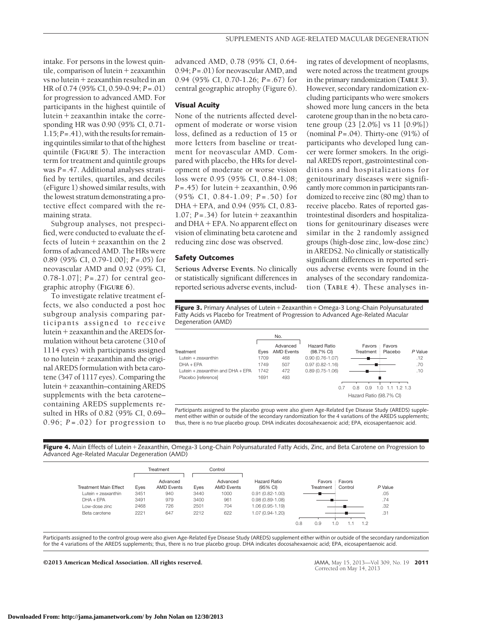intake. For persons in the lowest quintile, comparison of lutein + zeaxanthin vs no lutein-zeaxanthin resulted in an HR of 0.74 (95% CI, 0.59-0.94; *P*=.01) for progression to advanced AMD. For participants in the highest quintile of lutein-zeaxanthin intake the corresponding HR was 0.90 (95% CI, 0.71-  $1.15; P = .41$ ), with the results for remaining quintiles similar to that of the highest quintile (**FIGURE 5**). The interaction term for treatment and quintile groups was *P*=.47. Additional analyses stratified by tertiles, quartiles, and deciles (eFigure 1) showed similar results, with the lowest stratum demonstrating a protective effect compared with the remaining strata.

Subgroup analyses, not prespecified, were conducted to evaluate the effects of lutein-zeaxanthin on the 2 forms of advanced AMD. The HRs were 0.89 (95% CI, 0.79-1.00]; *P*=.05) for neovascular AMD and 0.92 (95% CI, 0.78-1.07]; *P*=.27) for central geographic atrophy (**FIGURE 6**).

To investigate relative treatment effects, we also conducted a post hoc subgroup analysis comparing participants assigned to receive lutein-zeaxanthin and the AREDS formulation without beta carotene (310 of 1114 eyes) with participants assigned to no lutein-zeaxanthin and the original AREDS formulation with beta carotene (347 of 1117 eyes). Comparing the lutein-zeaxanthin–containing AREDS supplements with the beta carotene– containing AREDS supplements resulted in HRs of 0.82 (95% CI, 0.69– 0.96;  $P = .02$ ) for progression to advanced AMD, 0.78 (95% CI, 0.64- 0.94; *P*=.01) for neovascular AMD, and 0.94 (95% CI, 0.70-1.26; *P*=.67) for central geographic atrophy (Figure 6).

#### **Visual Acuity**

None of the nutrients affected development of moderate or worse vision loss, defined as a reduction of 15 or more letters from baseline or treatment for neovascular AMD. Compared with placebo, the HRs for development of moderate or worse vision loss were 0.95 (95% CI, 0.84-1.08; *P*=.45) for lutein-zeaxanthin, 0.96 (95% CI, 0.84-1.09; *P* =.50) for DHA-EPA, and 0.94 (95% CI, 0.83- 1.07;  $P = .34$ ) for lutein + zeaxanthin and DHA-EPA. No apparent effect on vision of eliminating beta carotene and reducing zinc dose was observed.

#### **Safety Outcomes**

**Serious Adverse Events.** No clinically or statistically significant differences in reported serious adverse events, includ-

ing rates of development of neoplasms, were noted across the treatment groups in the primary randomization (**TABLE 3**). However, secondary randomization excluding participants who were smokers showed more lung cancers in the beta carotene group than in the no beta carotene group (23 [2.0%] vs 11 [0.9%]) (nominal *P*=.04). Thirty-one (91%) of participants who developed lung cancer were former smokers. In the original AREDS report, gastrointestinal conditions and hospitalizations for genitourinary diseases were significantly more common in participants randomized to receive zinc (80 mg) than to receive placebo. Rates of reported gastrointestinal disorders and hospitalizations for genitourinary diseases were similar in the 2 randomly assigned groups (high-dose zinc, low-dose zinc) in AREDS2. No clinically or statistically significant differences in reported serious adverse events were found in the analyses of the secondary randomization (**TABLE 4**). These analyses in-

**Figure 3.** Primary Analyses of Lutein + Zeaxanthin + Omega-3 Long-Chain Polyunsaturated Fatty Acids vs Placebo for Treatment of Progression to Advanced Age-Related Macular Degeneration (AMD)

|                                   |      | No.                           |                                   |                                              |                   |         |
|-----------------------------------|------|-------------------------------|-----------------------------------|----------------------------------------------|-------------------|---------|
| Treatment                         | Eves | Advanced<br><b>AMD Events</b> | <b>Hazard Ratio</b><br>(98.7% CI) | Favors<br>÷.<br>Treatment                    | Favors<br>Placebo | P Value |
| Lutein + zeaxanthin               | 1709 | 468                           | $0.90(0.76 - 1.07)$               |                                              |                   | .12     |
| $DHA + EPA$                       | 1749 | 507                           | $0.97(0.82 - 1.16)$               |                                              |                   | .70     |
| Lutein + zeaxanthin and DHA + FPA | 1742 | 472                           | $0.89(0.75-1.06)$                 |                                              |                   | .10     |
| Placebo [reference]               | 1691 | 493                           |                                   |                                              |                   |         |
|                                   |      |                               | 0.7                               | 0.8<br>0.9<br>1.0<br>Hazard Ratio (98.7% CI) | $1.1$ $1.2$ $1.3$ |         |

Participants assigned to the placebo group were also given Age-Related Eye Disease Study (AREDS) supplement either within or outside of the secondary randomization for the 4 variations of the AREDS supplements; thus, there is no true placebo group. DHA indicates docosahexaenoic acid; EPA, eicosapentaenoic acid.

Figure 4. Main Effects of Lutein + Zeaxanthin, Omega-3 Long-Chain Polyunsaturated Fatty Acids, Zinc, and Beta Carotene on Progression to Advanced Age-Related Macular Degeneration (AMD)

|                              |      | Treatment                     |      | Control                       |                          |     |                   |               |     |         |
|------------------------------|------|-------------------------------|------|-------------------------------|--------------------------|-----|-------------------|---------------|-----|---------|
| <b>Treatment Main Effect</b> | Eyes | Advanced<br><b>AMD Events</b> | Eyes | Advanced<br><b>AMD Events</b> | Hazard Ratio<br>(95% CI) |     | Treatment Control | Favors Favors |     | P Value |
| $l$ utein + zeaxanthin       | 3451 | 940                           | 3440 | 1000                          | $0.91(0.82 - 1.00)$      |     |                   |               |     | .05     |
| $DHA + FPA$                  | 3491 | 979                           | 3400 | 961                           | $0.98(0.89 - 1.08)$      |     |                   |               |     | .74     |
| Low-dose zinc                | 2468 | 726                           | 2501 | 704                           | 1.06 (0.95-1.19)         |     |                   |               |     | .32     |
| Beta carotene                | 2221 | 647                           | 2212 | 622                           | 1.07 (0.94-1.20)         |     |                   |               |     | .31     |
|                              |      |                               |      |                               |                          | 0.8 | 0.9               |               | 1.2 |         |

Participants assigned to the control group were also given Age-Related Eye Disease Study (AREDS) supplement either within or outside of the secondary randomization for the 4 variations of the AREDS supplements; thus, there is no true placebo group. DHA indicates docosahexaenoic acid; EPA, eicosapentaenoic acid.

©2013 American Medical Association. All rights reserved. JAMA, May 15, 2013—Vol 309, No. 19 **2011**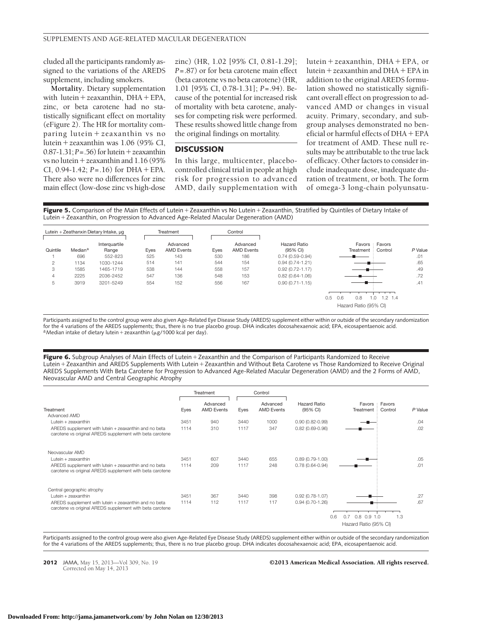# cluded all the participants randomly assigned to the variations of the AREDS supplement, including smokers.

**Mortality.** Dietary supplementation with lutein + zeaxanthin, DHA + EPA, zinc, or beta carotene had no statistically significant effect on mortality (eFigure 2). The HR for mortality comparing lutein + zeaxanthin vs no lutein-zeaxanthin was 1.06 (95% CI,  $0.87 - 1.31$ ;  $P = .56$ ) for lutein + zeaxanthin vs no lutein-zeaxanthin and 1.16 (95% CI,  $0.94 - 1.42$ ;  $P = .16$ ) for DHA + EPA. There also were no differences for zinc main effect (low-dose zinc vs high-dose zinc) (HR, 1.02 [95% CI, 0.81-1.29]; *P*=.87) or for beta carotene main effect (beta carotene vs no beta carotene) (HR, 1.01 [95% CI, 0.78-1.31]; *P*=.94). Because of the potential for increased risk of mortality with beta carotene, analyses for competing risk were performed. These results showed little change from the original findings on mortality.

#### **DISCUSSION**

In this large, multicenter, placebocontrolled clinical trial in people at high risk for progression to advanced AMD, daily supplementation with

lutein-zeaxanthin, DHA-EPA, or lutein-zeaxanthin and DHA-EPA in addition to the original AREDS formulation showed no statistically significant overall effect on progression to advanced AMD or changes in visual acuity. Primary, secondary, and subgroup analyses demonstrated no beneficial or harmful effects of DHA-EPA for treatment of AMD. These null results may be attributable to the true lack of efficacy. Other factors to consider include inadequate dose, inadequate duration of treatment, or both. The form of omega-3 long-chain polyunsatu-

**Figure 5.** Comparison of the Main Effects of Lutein + Zeaxanthin vs No Lutein + Zeaxanthin, Stratified by Quintiles of Dietary Intake of Lutein-Zeaxanthin, on Progression to Advanced Age-Related Macular Degeneration (AMD)



Participants assigned to the control group were also given Age-Related Eye Disease Study (AREDS) supplement either within or outside of the secondary randomization for the 4 variations of the AREDS supplements; thus, there is no true placebo group. DHA indicates docosahexaenoic acid; EPA, eicosapentaenoic acid. <sup>a</sup> Median intake of dietary lutein + zeaxanthin ( $\mu$ g/1000 kcal per day).

Figure 6. Subgroup Analyses of Main Effects of Lutein + Zeaxanthin and the Comparison of Participants Randomized to Receive Lutein + Zeaxanthin and AREDS Supplements With Lutein + Zeaxanthin and Without Beta Carotene vs Those Randomized to Receive Original AREDS Supplements With Beta Carotene for Progression to Advanced Age-Related Macular Degeneration (AMD) and the 2 Forms of AMD, Neovascular AMD and Central Geographic Atrophy

|                                                                                                                   |      | Treatment                     |      | Control                       |                          |                                                             |         |
|-------------------------------------------------------------------------------------------------------------------|------|-------------------------------|------|-------------------------------|--------------------------|-------------------------------------------------------------|---------|
| Treatment                                                                                                         | Eyes | Advanced<br><b>AMD Events</b> | Eyes | Advanced<br><b>AMD Events</b> | Hazard Ratio<br>(95% CI) | Favors : Favors<br>Control<br>Treatment                     | P Value |
| Advanced AMD                                                                                                      |      |                               |      |                               |                          |                                                             |         |
| Lutein + zeaxanthin                                                                                               | 3451 | 940                           | 3440 | 1000                          | $0.90(0.82 - 0.99)$      |                                                             | .04     |
| AREDS supplement with lutein + zeaxanthin and no beta<br>carotene vs original AREDS supplement with beta carotene | 1114 | 310                           | 1117 | 347                           | $0.82(0.69 - 0.96)$      |                                                             | .02     |
| Neovascular AMD                                                                                                   |      |                               |      |                               |                          |                                                             |         |
| Lutein + zeaxanthin                                                                                               | 3451 | 607                           | 3440 | 655                           | $0.89(0.79-1.00)$        |                                                             | .05     |
| AREDS supplement with lutein + zeaxanthin and no beta<br>carotene vs original AREDS supplement with beta carotene | 1114 | 209                           | 1117 | 248                           | $0.78(0.64 - 0.94)$      |                                                             | .01     |
| Central geographic atrophy                                                                                        |      |                               |      |                               |                          |                                                             |         |
| Lutein + zeaxanthin                                                                                               | 3451 | 367                           | 3440 | 398                           | $0.92(0.78 - 1.07)$      |                                                             | .27     |
| AREDS supplement with lutein + zeaxanthin and no beta<br>carotene vs original AREDS supplement with beta carotene | 1114 | 112                           | 1117 | 117                           | $0.94(0.70-1.26)$        | $0.8$ 0.9 1.0<br>0.6<br>1.3<br>0.7<br>Hazard Ratio (95% CI) | .67     |

Participants assigned to the control group were also given Age-Related Eye Disease Study (AREDS) supplement either within or outside of the secondary randomization for the 4 variations of the AREDS supplements; thus, there is no true placebo group. DHA indicates docosahexaenoic acid; EPA, eicosapentaenoic acid.

Corrected on May 14, 2013

#### **2012** JAMA, May 15, 2013—Vol 309, No. 19 **Case 12013 American Medical Association. All rights reserved.**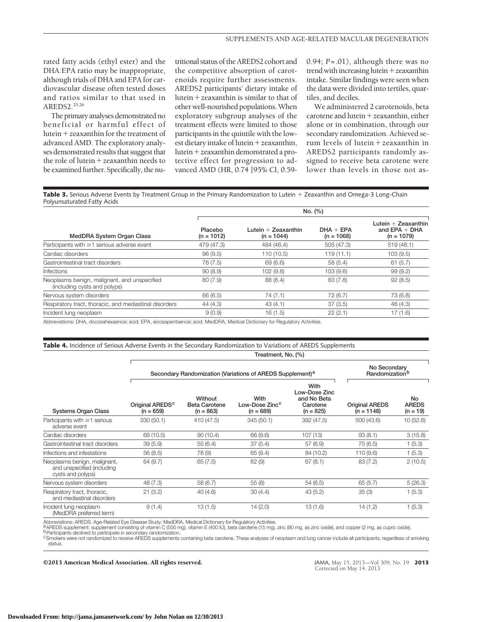rated fatty acids (ethyl ester) and the DHA:EPA ratio may be inappropriate, although trials of DHA and EPA for cardiovascular disease often tested doses and ratios similar to that used in AREDS2.25,26

The primary analyses demonstrated no beneficial or harmful effect of lutein-zeaxanthin for the treatment of advanced AMD. The exploratory analyses demonstrated results that suggest that the role of lutein-zeaxanthin needs to be examined further. Specifically, the nutritional status of the AREDS2 cohort and the competitive absorption of carotenoids require further assessments. AREDS2 participants' dietary intake of lutein-zeaxanthin is similar to that of other well-nourished populations.When exploratory subgroup analyses of the treatment effects were limited to those participants in the quintile with the lowest dietary intake of lutein + zeaxanthin, lutein-zeaxanthin demonstrated a protective effect for progression to advanced AMD (HR, 0.74 [95% CI, 0.590.94; *P*=.01), although there was no trend with increasing lutein + zeaxanthin intake. Similar findings were seen when the data were divided into tertiles, quartiles, and deciles.

We administered 2 carotenoids, beta carotene and lutein-zeaxanthin, either alone or in combination, through our secondary randomization. Achieved serum levels of lutein-zeaxanthin in AREDS2 participants randomly assigned to receive beta carotene were lower than levels in those not as-

**Table 3.** Serious Adverse Events by Treatment Group in the Primary Randomization to Lutein + Zeaxanthin and Omega-3 Long-Chain Polyunsaturated Fatty Acids

|                                                                              | No. (%)                 |                                       |                             |                                                          |  |  |  |
|------------------------------------------------------------------------------|-------------------------|---------------------------------------|-----------------------------|----------------------------------------------------------|--|--|--|
| MedDRA System Organ Class                                                    | Placebo<br>$(n = 1012)$ | Lutein $+$ Zeaxanthin<br>$(n = 1044)$ | $DHA + EPA$<br>$(n = 1068)$ | Lutein $+$ Zeaxanthin<br>and $EPA + DHA$<br>$(n = 1079)$ |  |  |  |
| Participants with $\geq$ 1 serious adverse event                             | 479 (47.3)              | 484 (46.4)                            | 505 (47.3)                  | 519(48.1)                                                |  |  |  |
| Cardiac disorders                                                            | 96(9.5)                 | 110 (10.5)                            | 119(11.1)                   | 103(9.5)                                                 |  |  |  |
| Gastrointestinal tract disorders                                             | 76 (7.5)                | 69(6.6)                               | 58(5.4)                     | 61(5.7)                                                  |  |  |  |
| <b>Infections</b>                                                            | 90(8.9)                 | 102(9.8)                              | 103 (9.6)                   | 99(9.2)                                                  |  |  |  |
| Neoplasms benign, malignant, and unspecified<br>(including cysts and polyps) | 80(7.9)                 | 88 (8.4)                              | 83(7.8)                     | 92(8.5)                                                  |  |  |  |
| Nervous system disorders                                                     | 66 (6.5)                | 74(7.1)                               | 72 (6.7)                    | 73 (6.8)                                                 |  |  |  |
| Respiratory tract, thoracic, and mediastinal disorders                       | 44 (4.3)                | 43(4.1)                               | 37(3.5)                     | 46 (4.3)                                                 |  |  |  |
| Incident lung neoplasm                                                       | 9(0.9)                  | 16(1.5)                               | 22(2.1)                     | 17(1.6)                                                  |  |  |  |

Abbreviations: DHA, docosahexaenoic acid; EPA, eicosapentaenoic acid; MedDRA, Medical Dictionary for Regulatory Activities.

#### **Table 4.** Incidence of Serious Adverse Events in the Secondary Randomization to Variations of AREDS Supplements

|                                                                                 | Treatment, No. (%)                                                    |                                                |                                                   |                                                                 |                                       |                                  |  |  |  |  |
|---------------------------------------------------------------------------------|-----------------------------------------------------------------------|------------------------------------------------|---------------------------------------------------|-----------------------------------------------------------------|---------------------------------------|----------------------------------|--|--|--|--|
| <b>Systems Organ Class</b>                                                      | Secondary Randomization (Variations of AREDS Supplement) <sup>a</sup> | No Secondary<br>Randomization <sup>b</sup>     |                                                   |                                                                 |                                       |                                  |  |  |  |  |
|                                                                                 | Original AREDS <sup>c</sup><br>$(n = 659)$                            | Without<br><b>Beta Carotene</b><br>$(n = 863)$ | With<br>Low-Dose Zinc <sup>c</sup><br>$(n = 689)$ | With<br>Low-Dose Zinc<br>and No Beta<br>Carotene<br>$(n = 825)$ | <b>Original AREDS</b><br>$(n = 1148)$ | No<br><b>AREDS</b><br>$(n = 19)$ |  |  |  |  |
| Participants with $\geq$ 1 serious<br>adverse event                             | 330 (50.1)                                                            | 410 (47.5)                                     | 345 (50.1)                                        | 392 (47.5)                                                      | 500 (43.6)                            | 10(52.6)                         |  |  |  |  |
| Cardiac disorders                                                               | 69 (10.5)                                                             | 90 (10.4)                                      | 66 (9.6)                                          | 107 (13)                                                        | 93(8.1)                               | 3(15.8)                          |  |  |  |  |
| Gastrointestinal tract disorders                                                | 39(5.9)                                                               | 55(6.4)                                        | 37(5.4)                                           | 57 (6.9)                                                        | 75(6.5)                               | 1(5.3)                           |  |  |  |  |
| Infections and infestations                                                     | 56 (8.5)                                                              | 78 (9)                                         | 65(9.4)                                           | 84 (10.2)                                                       | 110 (9.6)                             | 1(5.3)                           |  |  |  |  |
| Neoplasms benign, malignant,<br>and unspecified (including<br>cysts and polyps) | 64 (9.7)                                                              | 65(7.5)                                        | 62(9)                                             | 67(8.1)                                                         | 83 (7.2)                              | 2(10.5)                          |  |  |  |  |
| Nervous system disorders                                                        | 48(7.3)                                                               | 58 (6.7)                                       | 55(8)                                             | 54(6.5)                                                         | 65(5.7)                               | 5(26.3)                          |  |  |  |  |
| Respiratory tract, thoracic,<br>and mediastinal disorders                       | 21(3.2)                                                               | 40(4.6)                                        | 30(4.4)                                           | 43(5.2)                                                         | 35(3)                                 | 1(5.3)                           |  |  |  |  |
| Incident lung neoplasm<br>(MedDRA preferred term)                               | 9(1.4)                                                                | 13(1.5)                                        | 14(2.0)                                           | 13(1.6)                                                         | 14(1.2)                               | 1(5.3)                           |  |  |  |  |

Abbreviations: AREDS, Age-Related Eye Disease Study; MedDRA, Medical Dictionary for Regulatory Activities.

a AREDS supplement: supplement consisting of vitamin C (500 mg), vitamin E (400 IÚ), beta carotene (15 mg), zinc (80 mg, as zinc oxide), and copper (2 mg, as cupric oxide).<br>O Participants declined to participate in seconda

<sup>c</sup>Smokers were not randomized to receive AREDS supplements containing beta carotene. These analyses of neoplasm and lung cancer include all participants, regardless of smoking status.

©2013 American Medical Association. All rights reserved. JAMA, May 15, 2013—Vol 309, No. 19 **2013**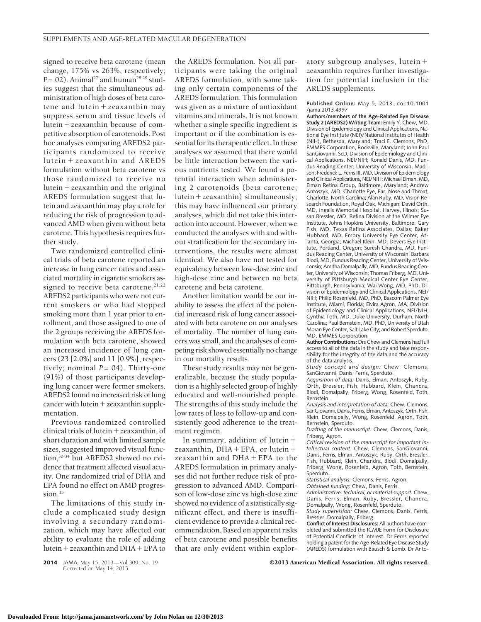signed to receive beta carotene (mean change, 175% vs 263%, respectively;  $P = .02$ ). Animal<sup>27</sup> and human<sup>28,29</sup> studies suggest that the simultaneous administration of high doses of beta carotene and lutein + zeaxanthin may suppress serum and tissue levels of lutein-zeaxanthin because of competitive absorption of carotenoids. Post hoc analyses comparing AREDS2 participants randomized to receive lutein - zeaxanthin and AREDS formulation without beta carotene vs those randomized to receive no lutein-zeaxanthin and the original AREDS formulation suggest that lutein and zeaxanthin may play a role for reducing the risk of progression to advanced AMD when given without beta carotene. This hypothesis requires further study.

Two randomized controlled clinical trials of beta carotene reported an increase in lung cancer rates and associated mortality in cigarette smokers assigned to receive beta carotene.<sup>21,22</sup> AREDS2 participants who were not current smokers or who had stopped smoking more than 1 year prior to enrollment, and those assigned to one of the 2 groups receiving the AREDS formulation with beta carotene, showed an increased incidence of lung cancers (23 [2.0%] and 11 [0.9%], respectively; nominal *P*=.04). Thirty-one (91%) of those participants developing lung cancer were former smokers. AREDS2 found no increased risk of lung cancer with lutein-zeaxanthin supplementation.

Previous randomized controlled clinical trials of lutein-zeaxanthin, of short duration and with limited sample sizes, suggested improved visual function,30-34 but AREDS2 showed no evidence that treatment affected visual acuity. One randomized trial of DHA and EPA found no effect on AMD progression. $35$ 

The limitations of this study include a complicated study design involving a secondary randomization, which may have affected our ability to evaluate the role of adding lutein-zeaxanthin and DHA-EPA to

Corrected on May 14, 2013

the AREDS formulation. Not all participants were taking the original AREDS formulation, with some taking only certain components of the AREDS formulation. This formulation was given as a mixture of antioxidant vitamins and minerals. It is not known whether a single specific ingredient is important or if the combination is essential for its therapeutic effect. In these analyses we assumed that there would be little interaction between the various nutrients tested. We found a potential interaction when administering 2 carotenoids (beta carotene; lutein-zeaxanthin) simultaneously; this may have influenced our primary analyses, which did not take this interaction into account. However, when we conducted the analyses with and without stratification for the secondary interventions, the results were almost identical. We also have not tested for equivalency between low-dose zinc and high-dose zinc and between no beta carotene and beta carotene.

Another limitation would be our inability to assess the effect of the potential increased risk of lung cancer associated with beta carotene on our analyses of mortality. The number of lung cancers was small, and the analyses of competing risk showed essentially no change in our mortality results.

These study results may not be generalizable, because the study population is a highly selected group of highly educated and well-nourished people. The strengths of this study include the low rates of loss to follow-up and consistently good adherence to the treatment regimen.

In summary, addition of lutein + zeaxanthin, DHA + EPA, or lutein + zeaxanthin and DHA - EPA to the AREDS formulation in primary analyses did not further reduce risk of progression to advanced AMD. Comparison of low-dose zinc vs high-dose zinc showed no evidence of a statistically significant effect, and there is insufficient evidence to provide a clinical recommendation. Based on apparent risks of beta carotene and possible benefits that are only evident within explor-

atory subgroup analyses, lutein + zeaxanthin requires further investigation for potential inclusion in the AREDS supplements.

**Published Online:** May 5, 2013. doi:10.1001 /jama.2013.4997

**Authors/members of the Age-Related Eye Disease Study 2 (AREDS2) Writing Team:** Emily Y. Chew, MD, Division of Epidemiology and Clinical Applications, National Eye Institute (NEI)/National Institutes of Health (NIH), Bethesda, Maryland; Traci E. Clemons, PhD, EMMES Corporation, Rockville, Maryland; John Paul SanGiovanni, ScD, Division of Epidemiology and Clinical Applications, NEI/NIH; Ronald Danis, MD, Fundus Reading Center, University of Wisconsin, Madison; Frederick L. Ferris III, MD, Division of Epidemiology and Clinical Applications, NEI/NIH; Michael Elman, MD, Elman Retina Group, Baltimore, Maryland; Andrew Antoszyk, MD, Charlotte Eye, Ear, Nose and Throat, Charlotte, North Carolina; Alan Ruby, MD, Vision Research Foundation, Royal Oak, Michigan; David Orth, MD, Ingalls Memorial Hospital, Harvey, Illinois; Susan Bressler, MD, Retina Division at the Wilmer Eye Institute, Johns Hopkins University, Baltimore; Gary Fish, MD, Texas Retina Associates, Dallas; Baker Hubbard, MD, Emory University Eye Center, Atlanta, Georgia; Michael Klein, MD, Devers Eye Institute, Portland, Oregon; Suresh Chandra, MD, Fundus Reading Center, University of Wisconsin; Barbara Blodi, MD, Fundus Reading Center, University of Wisconsin; Amitha Domalpally, MD, Fundus Reading Center, University of Wisconsin; Thomas Friberg, MD, University of Pittsburgh Medical Center Eye Center, Pittsburgh, Pennsylvania; Wai Wong, MD, PhD, Division of Epidemiology and Clinical Applications, NEI/ NIH; Philip Rosenfeld, MD, PhD, Bascom Palmer Eye Institute, Miami, Florida; Elvira Agron, MA, Division of Epidemiology and Clinical Applications, NEI/NIH; Cynthia Toth, MD, Duke University, Durham, North Carolina; Paul Bernstein, MD, PhD, University of Utah Moran Eye Center, Salt Lake City; and Robert Sperduto, MD, EMMES Corporation.

**Author Contributions:** Drs Chew and Clemons had full access to all of the data in the study and take responsibility for the integrity of the data and the accuracy of the data analysis.

*Study concept and design:* Chew, Clemons, SanGiovanni, Danis, Ferris, Sperduto.

*Acquisition of data:* Danis, Elman, Antoszyk, Ruby, Orth, Bressler, Fish, Hubbard, Klein, Chandra, Blodi, Domalpally, Friberg, Wong, Rosenfeld, Toth, Bernstein.

*Analysis and interpretation of data:* Chew, Clemons, SanGiovanni, Danis, Ferris, Elman, Antoszyk, Orth, Fish, Klein, Domalpally, Wong, Rosenfeld, Agron, Toth, Bernstein, Sperduto.

*Drafting of the manuscript:* Chew, Clemons, Danis, Friberg, Agron.

*Critical revision of the manuscript for important intellectual content:* Chew, Clemons, SanGiovanni, Danis, Ferris, Elman, Antoszyk, Ruby, Orth, Bressler, Fish, Hubbard, Klein, Chandra, Blodi, Domalpally, Friberg, Wong, Rosenfeld, Agron, Toth, Bernstein, Sperduto.

*Statistical analysis:* Clemons, Ferris, Agron.

*Obtained funding:* Chew, Danis, Ferris.

*Administrative, technical, or material support:* Chew, Danis, Ferris, Elman, Ruby, Bressler, Chandra, Domalpally, Wong, Rosenfeld, Sperduto.

*Study supervision:* Chew, Clemons, Danis, Ferris, Bressler, Domalpally, Friberg.

**Conflict of Interest Disclosures:** All authors have completed and submitted the ICMJE Form for Disclosure of Potential Conflicts of Interest. Dr Ferris reported holding a patent for the Age-Related Eye Disease Study (AREDS) formulation with Bausch & Lomb. Dr Anto-

# **Downloaded From: http://jama.jamanetwork.com/ by John Nolan on 12/30/2013**

**2014** JAMA, May 15, 2013—Vol 309, No. 19 **Case 18 COLO 2013 American Medical Association. All rights reserved.**